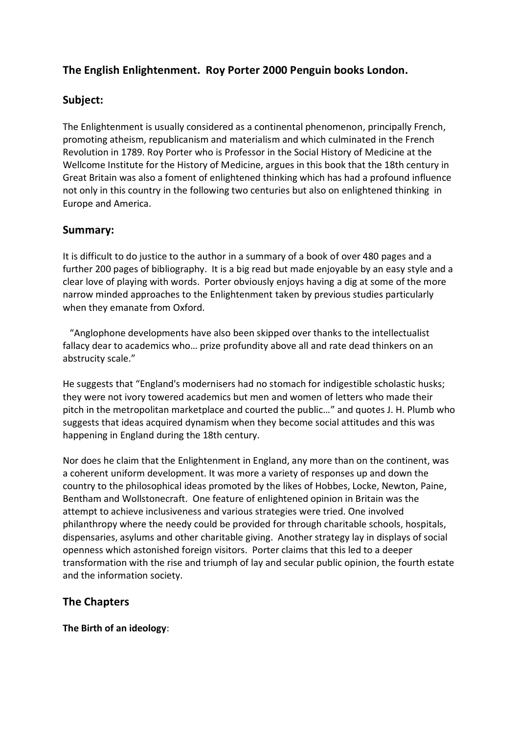# **The English Enlightenment. Roy Porter 2000 Penguin books London.**

# **Subject:**

The Enlightenment is usually considered as a continental phenomenon, principally French, promoting atheism, republicanism and materialism and which culminated in the French Revolution in 1789. Roy Porter who is Professor in the Social History of Medicine at the Wellcome Institute for the History of Medicine, argues in this book that the 18th century in Great Britain was also a foment of enlightened thinking which has had a profound influence not only in this country in the following two centuries but also on enlightened thinking in Europe and America.

# **Summary:**

It is difficult to do justice to the author in a summary of a book of over 480 pages and a further 200 pages of bibliography. It is a big read but made enjoyable by an easy style and a clear love of playing with words. Porter obviously enjoys having a dig at some of the more narrow minded approaches to the Enlightenment taken by previous studies particularly when they emanate from Oxford.

 "Anglophone developments have also been skipped over thanks to the intellectualist fallacy dear to academics who… prize profundity above all and rate dead thinkers on an abstrucity scale."

He suggests that "England's modernisers had no stomach for indigestible scholastic husks; they were not ivory towered academics but men and women of letters who made their pitch in the metropolitan marketplace and courted the public…" and quotes J. H. Plumb who suggests that ideas acquired dynamism when they become social attitudes and this was happening in England during the 18th century.

Nor does he claim that the Enlightenment in England, any more than on the continent, was a coherent uniform development. It was more a variety of responses up and down the country to the philosophical ideas promoted by the likes of Hobbes, Locke, Newton, Paine, Bentham and Wollstonecraft. One feature of enlightened opinion in Britain was the attempt to achieve inclusiveness and various strategies were tried. One involved philanthropy where the needy could be provided for through charitable schools, hospitals, dispensaries, asylums and other charitable giving. Another strategy lay in displays of social openness which astonished foreign visitors. Porter claims that this led to a deeper transformation with the rise and triumph of lay and secular public opinion, the fourth estate and the information society.

# **The Chapters**

**The Birth of an ideology**: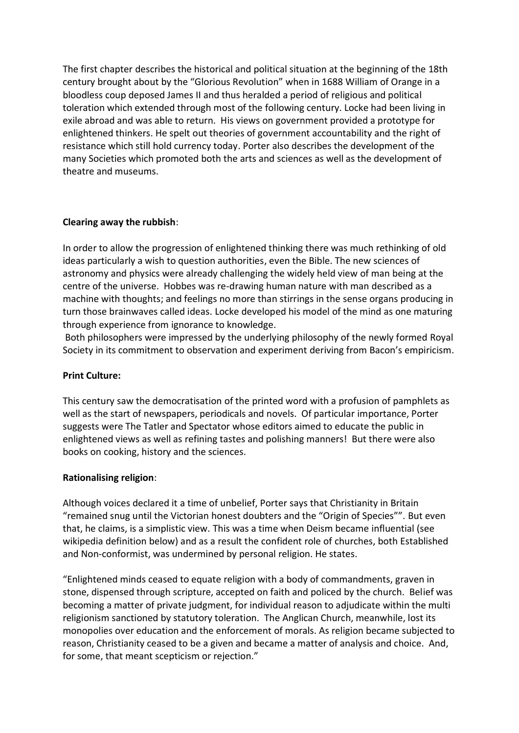The first chapter describes the historical and political situation at the beginning of the 18th century brought about by the "Glorious Revolution" when in 1688 William of Orange in a bloodless coup deposed James II and thus heralded a period of religious and political toleration which extended through most of the following century. Locke had been living in exile abroad and was able to return. His views on government provided a prototype for enlightened thinkers. He spelt out theories of government accountability and the right of resistance which still hold currency today. Porter also describes the development of the many Societies which promoted both the arts and sciences as well as the development of theatre and museums.

# **Clearing away the rubbish**:

In order to allow the progression of enlightened thinking there was much rethinking of old ideas particularly a wish to question authorities, even the Bible. The new sciences of astronomy and physics were already challenging the widely held view of man being at the centre of the universe. Hobbes was re-drawing human nature with man described as a machine with thoughts; and feelings no more than stirrings in the sense organs producing in turn those brainwaves called ideas. Locke developed his model of the mind as one maturing through experience from ignorance to knowledge.

Both philosophers were impressed by the underlying philosophy of the newly formed Royal Society in its commitment to observation and experiment deriving from Bacon's empiricism.

# **Print Culture:**

This century saw the democratisation of the printed word with a profusion of pamphlets as well as the start of newspapers, periodicals and novels. Of particular importance, Porter suggests were The Tatler and Spectator whose editors aimed to educate the public in enlightened views as well as refining tastes and polishing manners! But there were also books on cooking, history and the sciences.

#### **Rationalising religion**:

Although voices declared it a time of unbelief, Porter says that Christianity in Britain "remained snug until the Victorian honest doubters and the "Origin of Species"". But even that, he claims, is a simplistic view. This was a time when Deism became influential (see wikipedia definition below) and as a result the confident role of churches, both Established and Non-conformist, was undermined by personal religion. He states.

"Enlightened minds ceased to equate religion with a body of commandments, graven in stone, dispensed through scripture, accepted on faith and policed by the church. Belief was becoming a matter of private judgment, for individual reason to adjudicate within the multi religionism sanctioned by statutory toleration. The Anglican Church, meanwhile, lost its monopolies over education and the enforcement of morals. As religion became subjected to reason, Christianity ceased to be a given and became a matter of analysis and choice. And, for some, that meant scepticism or rejection."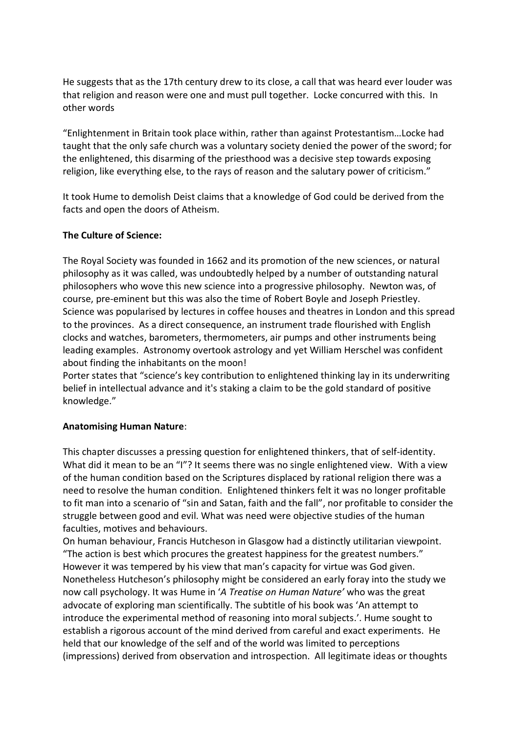He suggests that as the 17th century drew to its close, a call that was heard ever louder was that religion and reason were one and must pull together. Locke concurred with this. In other words

"Enlightenment in Britain took place within, rather than against Protestantism…Locke had taught that the only safe church was a voluntary society denied the power of the sword; for the enlightened, this disarming of the priesthood was a decisive step towards exposing religion, like everything else, to the rays of reason and the salutary power of criticism."

It took Hume to demolish Deist claims that a knowledge of God could be derived from the facts and open the doors of Atheism.

### **The Culture of Science:**

The Royal Society was founded in 1662 and its promotion of the new sciences, or natural philosophy as it was called, was undoubtedly helped by a number of outstanding natural philosophers who wove this new science into a progressive philosophy. Newton was, of course, pre-eminent but this was also the time of Robert Boyle and Joseph Priestley. Science was popularised by lectures in coffee houses and theatres in London and this spread to the provinces. As a direct consequence, an instrument trade flourished with English clocks and watches, barometers, thermometers, air pumps and other instruments being leading examples. Astronomy overtook astrology and yet William Herschel was confident about finding the inhabitants on the moon!

Porter states that "science's key contribution to enlightened thinking lay in its underwriting belief in intellectual advance and it's staking a claim to be the gold standard of positive knowledge."

# **Anatomising Human Nature**:

This chapter discusses a pressing question for enlightened thinkers, that of self-identity. What did it mean to be an "I"? It seems there was no single enlightened view. With a view of the human condition based on the Scriptures displaced by rational religion there was a need to resolve the human condition. Enlightened thinkers felt it was no longer profitable to fit man into a scenario of "sin and Satan, faith and the fall", nor profitable to consider the struggle between good and evil. What was need were objective studies of the human faculties, motives and behaviours.

On human behaviour, Francis Hutcheson in Glasgow had a distinctly utilitarian viewpoint. "The action is best which procures the greatest happiness for the greatest numbers." However it was tempered by his view that man's capacity for virtue was God given. Nonetheless Hutcheson's philosophy might be considered an early foray into the study we now call psychology. It was Hume in '*A Treatise on Human Nature'* who was the great advocate of exploring man scientifically. The subtitle of his book was 'An attempt to introduce the experimental method of reasoning into moral subjects.'. Hume sought to establish a rigorous account of the mind derived from careful and exact experiments. He held that our knowledge of the self and of the world was limited to perceptions (impressions) derived from observation and introspection. All legitimate ideas or thoughts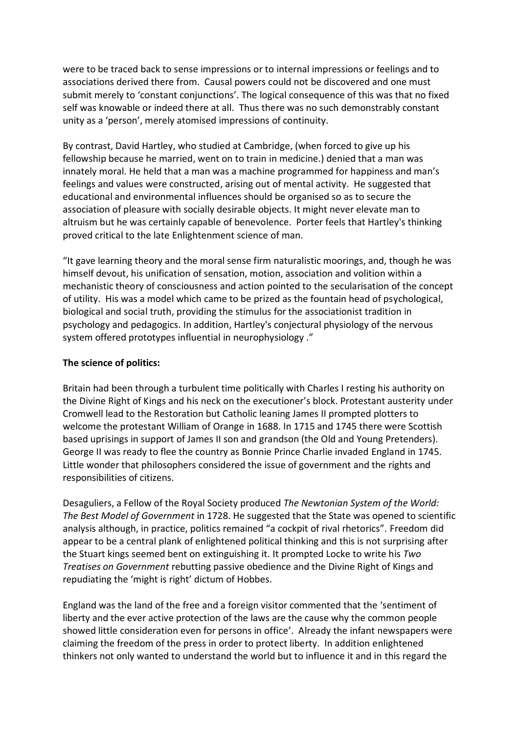were to be traced back to sense impressions or to internal impressions or feelings and to associations derived there from. Causal powers could not be discovered and one must submit merely to 'constant conjunctions'. The logical consequence of this was that no fixed self was knowable or indeed there at all. Thus there was no such demonstrably constant unity as a 'person', merely atomised impressions of continuity.

By contrast, David Hartley, who studied at Cambridge, (when forced to give up his fellowship because he married, went on to train in medicine.) denied that a man was innately moral. He held that a man was a machine programmed for happiness and man's feelings and values were constructed, arising out of mental activity. He suggested that educational and environmental influences should be organised so as to secure the association of pleasure with socially desirable objects. It might never elevate man to altruism but he was certainly capable of benevolence. Porter feels that Hartley's thinking proved critical to the late Enlightenment science of man.

"It gave learning theory and the moral sense firm naturalistic moorings, and, though he was himself devout, his unification of sensation, motion, association and volition within a mechanistic theory of consciousness and action pointed to the secularisation of the concept of utility. His was a model which came to be prized as the fountain head of psychological, biological and social truth, providing the stimulus for the associationist tradition in psychology and pedagogics. In addition, Hartley's conjectural physiology of the nervous system offered prototypes influential in neurophysiology ."

#### **The science of politics:**

Britain had been through a turbulent time politically with Charles I resting his authority on the Divine Right of Kings and his neck on the executioner's block. Protestant austerity under Cromwell lead to the Restoration but Catholic leaning James II prompted plotters to welcome the protestant William of Orange in 1688. In 1715 and 1745 there were Scottish based uprisings in support of James II son and grandson (the Old and Young Pretenders). George II was ready to flee the country as Bonnie Prince Charlie invaded England in 1745. Little wonder that philosophers considered the issue of government and the rights and responsibilities of citizens.

Desaguliers, a Fellow of the Royal Society produced *The Newtonian System of the World: The Best Model of Government* in 1728. He suggested that the State was opened to scientific analysis although, in practice, politics remained "a cockpit of rival rhetorics". Freedom did appear to be a central plank of enlightened political thinking and this is not surprising after the Stuart kings seemed bent on extinguishing it. It prompted Locke to write his *Two Treatises on Government* rebutting passive obedience and the Divine Right of Kings and repudiating the 'might is right' dictum of Hobbes.

England was the land of the free and a foreign visitor commented that the 'sentiment of liberty and the ever active protection of the laws are the cause why the common people showed little consideration even for persons in office'. Already the infant newspapers were claiming the freedom of the press in order to protect liberty. In addition enlightened thinkers not only wanted to understand the world but to influence it and in this regard the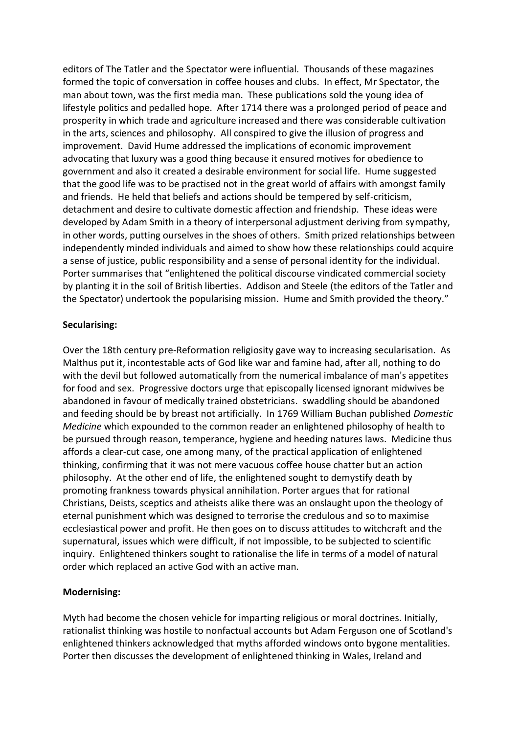editors of The Tatler and the Spectator were influential. Thousands of these magazines formed the topic of conversation in coffee houses and clubs. In effect, Mr Spectator, the man about town, was the first media man. These publications sold the young idea of lifestyle politics and pedalled hope. After 1714 there was a prolonged period of peace and prosperity in which trade and agriculture increased and there was considerable cultivation in the arts, sciences and philosophy. All conspired to give the illusion of progress and improvement. David Hume addressed the implications of economic improvement advocating that luxury was a good thing because it ensured motives for obedience to government and also it created a desirable environment for social life. Hume suggested that the good life was to be practised not in the great world of affairs with amongst family and friends. He held that beliefs and actions should be tempered by self-criticism, detachment and desire to cultivate domestic affection and friendship. These ideas were developed by Adam Smith in a theory of interpersonal adjustment deriving from sympathy, in other words, putting ourselves in the shoes of others. Smith prized relationships between independently minded individuals and aimed to show how these relationships could acquire a sense of justice, public responsibility and a sense of personal identity for the individual. Porter summarises that "enlightened the political discourse vindicated commercial society by planting it in the soil of British liberties. Addison and Steele (the editors of the Tatler and the Spectator) undertook the popularising mission. Hume and Smith provided the theory."

#### **Secularising:**

Over the 18th century pre-Reformation religiosity gave way to increasing secularisation. As Malthus put it, incontestable acts of God like war and famine had, after all, nothing to do with the devil but followed automatically from the numerical imbalance of man's appetites for food and sex. Progressive doctors urge that episcopally licensed ignorant midwives be abandoned in favour of medically trained obstetricians. swaddling should be abandoned and feeding should be by breast not artificially. In 1769 William Buchan published *Domestic Medicine* which expounded to the common reader an enlightened philosophy of health to be pursued through reason, temperance, hygiene and heeding natures laws. Medicine thus affords a clear-cut case, one among many, of the practical application of enlightened thinking, confirming that it was not mere vacuous coffee house chatter but an action philosophy. At the other end of life, the enlightened sought to demystify death by promoting frankness towards physical annihilation. Porter argues that for rational Christians, Deists, sceptics and atheists alike there was an onslaught upon the theology of eternal punishment which was designed to terrorise the credulous and so to maximise ecclesiastical power and profit. He then goes on to discuss attitudes to witchcraft and the supernatural, issues which were difficult, if not impossible, to be subjected to scientific inquiry. Enlightened thinkers sought to rationalise the life in terms of a model of natural order which replaced an active God with an active man.

# **Modernising:**

Myth had become the chosen vehicle for imparting religious or moral doctrines. Initially, rationalist thinking was hostile to nonfactual accounts but Adam Ferguson one of Scotland's enlightened thinkers acknowledged that myths afforded windows onto bygone mentalities. Porter then discusses the development of enlightened thinking in Wales, Ireland and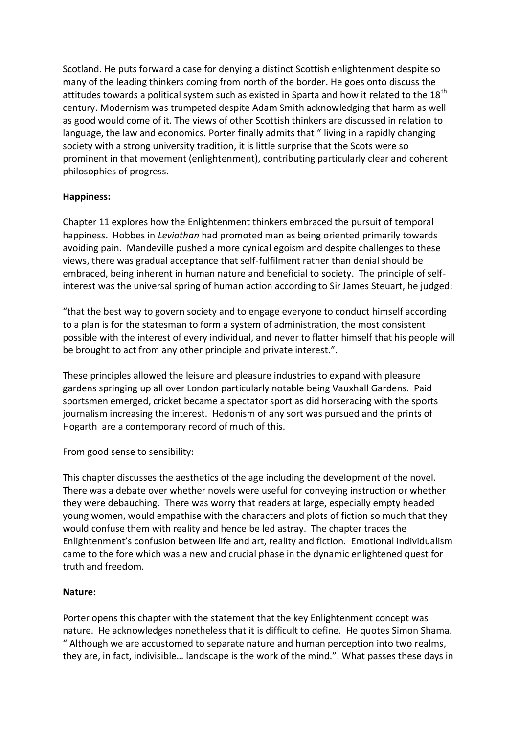Scotland. He puts forward a case for denying a distinct Scottish enlightenment despite so many of the leading thinkers coming from north of the border. He goes onto discuss the attitudes towards a political system such as existed in Sparta and how it related to the 18<sup>th</sup> century. Modernism was trumpeted despite Adam Smith acknowledging that harm as well as good would come of it. The views of other Scottish thinkers are discussed in relation to language, the law and economics. Porter finally admits that " living in a rapidly changing society with a strong university tradition, it is little surprise that the Scots were so prominent in that movement (enlightenment), contributing particularly clear and coherent philosophies of progress.

# **Happiness:**

Chapter 11 explores how the Enlightenment thinkers embraced the pursuit of temporal happiness. Hobbes in *Leviathan* had promoted man as being oriented primarily towards avoiding pain. Mandeville pushed a more cynical egoism and despite challenges to these views, there was gradual acceptance that self-fulfilment rather than denial should be embraced, being inherent in human nature and beneficial to society. The principle of selfinterest was the universal spring of human action according to Sir James Steuart, he judged:

"that the best way to govern society and to engage everyone to conduct himself according to a plan is for the statesman to form a system of administration, the most consistent possible with the interest of every individual, and never to flatter himself that his people will be brought to act from any other principle and private interest.".

These principles allowed the leisure and pleasure industries to expand with pleasure gardens springing up all over London particularly notable being Vauxhall Gardens. Paid sportsmen emerged, cricket became a spectator sport as did horseracing with the sports journalism increasing the interest. Hedonism of any sort was pursued and the prints of Hogarth are a contemporary record of much of this.

From good sense to sensibility:

This chapter discusses the aesthetics of the age including the development of the novel. There was a debate over whether novels were useful for conveying instruction or whether they were debauching. There was worry that readers at large, especially empty headed young women, would empathise with the characters and plots of fiction so much that they would confuse them with reality and hence be led astray. The chapter traces the Enlightenment's confusion between life and art, reality and fiction. Emotional individualism came to the fore which was a new and crucial phase in the dynamic enlightened quest for truth and freedom.

#### **Nature:**

Porter opens this chapter with the statement that the key Enlightenment concept was nature. He acknowledges nonetheless that it is difficult to define. He quotes Simon Shama. " Although we are accustomed to separate nature and human perception into two realms, they are, in fact, indivisible… landscape is the work of the mind.". What passes these days in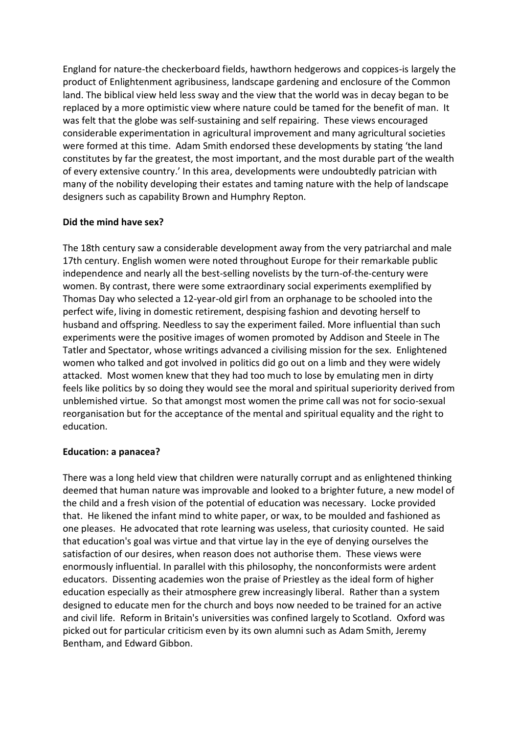England for nature-the checkerboard fields, hawthorn hedgerows and coppices-is largely the product of Enlightenment agribusiness, landscape gardening and enclosure of the Common land. The biblical view held less sway and the view that the world was in decay began to be replaced by a more optimistic view where nature could be tamed for the benefit of man. It was felt that the globe was self-sustaining and self repairing. These views encouraged considerable experimentation in agricultural improvement and many agricultural societies were formed at this time. Adam Smith endorsed these developments by stating 'the land constitutes by far the greatest, the most important, and the most durable part of the wealth of every extensive country.' In this area, developments were undoubtedly patrician with many of the nobility developing their estates and taming nature with the help of landscape designers such as capability Brown and Humphry Repton.

### **Did the mind have sex?**

The 18th century saw a considerable development away from the very patriarchal and male 17th century. English women were noted throughout Europe for their remarkable public independence and nearly all the best-selling novelists by the turn-of-the-century were women. By contrast, there were some extraordinary social experiments exemplified by Thomas Day who selected a 12-year-old girl from an orphanage to be schooled into the perfect wife, living in domestic retirement, despising fashion and devoting herself to husband and offspring. Needless to say the experiment failed. More influential than such experiments were the positive images of women promoted by Addison and Steele in The Tatler and Spectator, whose writings advanced a civilising mission for the sex. Enlightened women who talked and got involved in politics did go out on a limb and they were widely attacked. Most women knew that they had too much to lose by emulating men in dirty feels like politics by so doing they would see the moral and spiritual superiority derived from unblemished virtue. So that amongst most women the prime call was not for socio-sexual reorganisation but for the acceptance of the mental and spiritual equality and the right to education.

#### **Education: a panacea?**

There was a long held view that children were naturally corrupt and as enlightened thinking deemed that human nature was improvable and looked to a brighter future, a new model of the child and a fresh vision of the potential of education was necessary. Locke provided that. He likened the infant mind to white paper, or wax, to be moulded and fashioned as one pleases. He advocated that rote learning was useless, that curiosity counted. He said that education's goal was virtue and that virtue lay in the eye of denying ourselves the satisfaction of our desires, when reason does not authorise them. These views were enormously influential. In parallel with this philosophy, the nonconformists were ardent educators. Dissenting academies won the praise of Priestley as the ideal form of higher education especially as their atmosphere grew increasingly liberal. Rather than a system designed to educate men for the church and boys now needed to be trained for an active and civil life. Reform in Britain's universities was confined largely to Scotland. Oxford was picked out for particular criticism even by its own alumni such as Adam Smith, Jeremy Bentham, and Edward Gibbon.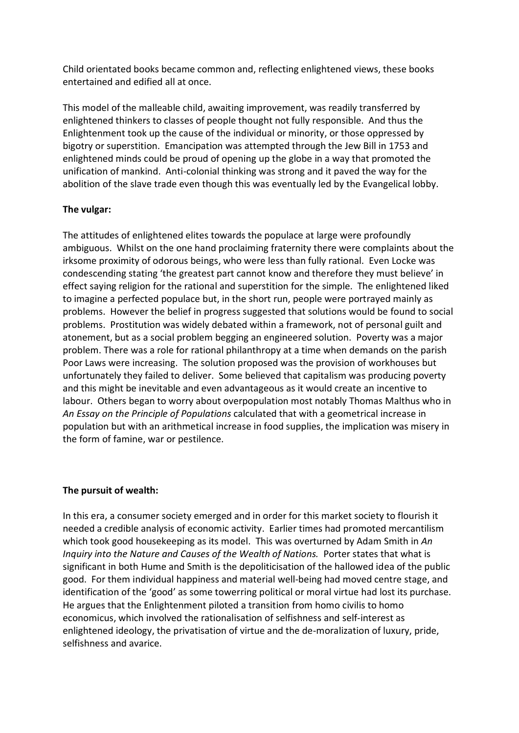Child orientated books became common and, reflecting enlightened views, these books entertained and edified all at once.

This model of the malleable child, awaiting improvement, was readily transferred by enlightened thinkers to classes of people thought not fully responsible. And thus the Enlightenment took up the cause of the individual or minority, or those oppressed by bigotry or superstition. Emancipation was attempted through the Jew Bill in 1753 and enlightened minds could be proud of opening up the globe in a way that promoted the unification of mankind. Anti-colonial thinking was strong and it paved the way for the abolition of the slave trade even though this was eventually led by the Evangelical lobby.

# **The vulgar:**

The attitudes of enlightened elites towards the populace at large were profoundly ambiguous. Whilst on the one hand proclaiming fraternity there were complaints about the irksome proximity of odorous beings, who were less than fully rational. Even Locke was condescending stating 'the greatest part cannot know and therefore they must believe' in effect saying religion for the rational and superstition for the simple. The enlightened liked to imagine a perfected populace but, in the short run, people were portrayed mainly as problems. However the belief in progress suggested that solutions would be found to social problems. Prostitution was widely debated within a framework, not of personal guilt and atonement, but as a social problem begging an engineered solution. Poverty was a major problem. There was a role for rational philanthropy at a time when demands on the parish Poor Laws were increasing. The solution proposed was the provision of workhouses but unfortunately they failed to deliver. Some believed that capitalism was producing poverty and this might be inevitable and even advantageous as it would create an incentive to labour. Others began to worry about overpopulation most notably Thomas Malthus who in *An Essay on the Principle of Populations* calculated that with a geometrical increase in population but with an arithmetical increase in food supplies, the implication was misery in the form of famine, war or pestilence.

# **The pursuit of wealth:**

In this era, a consumer society emerged and in order for this market society to flourish it needed a credible analysis of economic activity. Earlier times had promoted mercantilism which took good housekeeping as its model. This was overturned by Adam Smith in *An Inquiry into the Nature and Causes of the Wealth of Nations.* Porter states that what is significant in both Hume and Smith is the depoliticisation of the hallowed idea of the public good. For them individual happiness and material well-being had moved centre stage, and identification of the 'good' as some towerring political or moral virtue had lost its purchase. He argues that the Enlightenment piloted a transition from homo civilis to homo economicus, which involved the rationalisation of selfishness and self-interest as enlightened ideology, the privatisation of virtue and the de-moralization of luxury, pride, selfishness and avarice.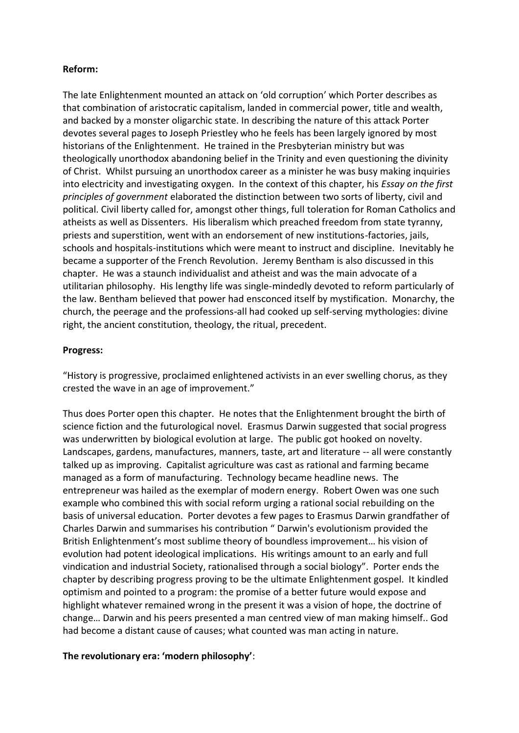### **Reform:**

The late Enlightenment mounted an attack on 'old corruption' which Porter describes as that combination of aristocratic capitalism, landed in commercial power, title and wealth, and backed by a monster oligarchic state. In describing the nature of this attack Porter devotes several pages to Joseph Priestley who he feels has been largely ignored by most historians of the Enlightenment. He trained in the Presbyterian ministry but was theologically unorthodox abandoning belief in the Trinity and even questioning the divinity of Christ. Whilst pursuing an unorthodox career as a minister he was busy making inquiries into electricity and investigating oxygen. In the context of this chapter, his *Essay on the first principles of government* elaborated the distinction between two sorts of liberty, civil and political. Civil liberty called for, amongst other things, full toleration for Roman Catholics and atheists as well as Dissenters. His liberalism which preached freedom from state tyranny, priests and superstition, went with an endorsement of new institutions-factories, jails, schools and hospitals-institutions which were meant to instruct and discipline. Inevitably he became a supporter of the French Revolution. Jeremy Bentham is also discussed in this chapter. He was a staunch individualist and atheist and was the main advocate of a utilitarian philosophy. His lengthy life was single-mindedly devoted to reform particularly of the law. Bentham believed that power had ensconced itself by mystification. Monarchy, the church, the peerage and the professions-all had cooked up self-serving mythologies: divine right, the ancient constitution, theology, the ritual, precedent.

### **Progress:**

"History is progressive, proclaimed enlightened activists in an ever swelling chorus, as they crested the wave in an age of improvement."

Thus does Porter open this chapter. He notes that the Enlightenment brought the birth of science fiction and the futurological novel. Erasmus Darwin suggested that social progress was underwritten by biological evolution at large. The public got hooked on novelty. Landscapes, gardens, manufactures, manners, taste, art and literature -- all were constantly talked up as improving. Capitalist agriculture was cast as rational and farming became managed as a form of manufacturing. Technology became headline news. The entrepreneur was hailed as the exemplar of modern energy. Robert Owen was one such example who combined this with social reform urging a rational social rebuilding on the basis of universal education. Porter devotes a few pages to Erasmus Darwin grandfather of Charles Darwin and summarises his contribution " Darwin's evolutionism provided the British Enlightenment's most sublime theory of boundless improvement… his vision of evolution had potent ideological implications. His writings amount to an early and full vindication and industrial Society, rationalised through a social biology". Porter ends the chapter by describing progress proving to be the ultimate Enlightenment gospel. It kindled optimism and pointed to a program: the promise of a better future would expose and highlight whatever remained wrong in the present it was a vision of hope, the doctrine of change… Darwin and his peers presented a man centred view of man making himself.. God had become a distant cause of causes; what counted was man acting in nature.

# **The revolutionary era: 'modern philosophy'**: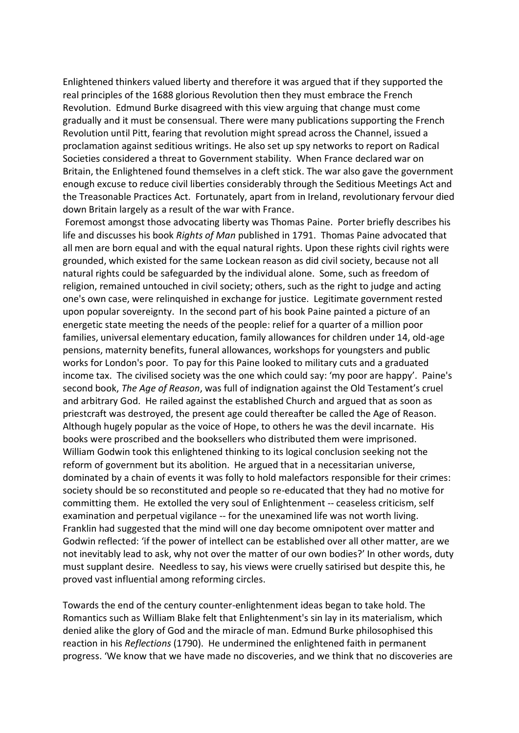Enlightened thinkers valued liberty and therefore it was argued that if they supported the real principles of the 1688 glorious Revolution then they must embrace the French Revolution. Edmund Burke disagreed with this view arguing that change must come gradually and it must be consensual. There were many publications supporting the French Revolution until Pitt, fearing that revolution might spread across the Channel, issued a proclamation against seditious writings. He also set up spy networks to report on Radical Societies considered a threat to Government stability. When France declared war on Britain, the Enlightened found themselves in a cleft stick. The war also gave the government enough excuse to reduce civil liberties considerably through the Seditious Meetings Act and the Treasonable Practices Act. Fortunately, apart from in Ireland, revolutionary fervour died down Britain largely as a result of the war with France.

Foremost amongst those advocating liberty was Thomas Paine. Porter briefly describes his life and discusses his book *Rights of Man* published in 1791. Thomas Paine advocated that all men are born equal and with the equal natural rights. Upon these rights civil rights were grounded, which existed for the same Lockean reason as did civil society, because not all natural rights could be safeguarded by the individual alone. Some, such as freedom of religion, remained untouched in civil society; others, such as the right to judge and acting one's own case, were relinquished in exchange for justice. Legitimate government rested upon popular sovereignty. In the second part of his book Paine painted a picture of an energetic state meeting the needs of the people: relief for a quarter of a million poor families, universal elementary education, family allowances for children under 14, old-age pensions, maternity benefits, funeral allowances, workshops for youngsters and public works for London's poor. To pay for this Paine looked to military cuts and a graduated income tax. The civilised society was the one which could say: 'my poor are happy'. Paine's second book, *The Age of Reason*, was full of indignation against the Old Testament's cruel and arbitrary God. He railed against the established Church and argued that as soon as priestcraft was destroyed, the present age could thereafter be called the Age of Reason. Although hugely popular as the voice of Hope, to others he was the devil incarnate. His books were proscribed and the booksellers who distributed them were imprisoned. William Godwin took this enlightened thinking to its logical conclusion seeking not the reform of government but its abolition. He argued that in a necessitarian universe, dominated by a chain of events it was folly to hold malefactors responsible for their crimes: society should be so reconstituted and people so re-educated that they had no motive for committing them. He extolled the very soul of Enlightenment -- ceaseless criticism, self examination and perpetual vigilance -- for the unexamined life was not worth living. Franklin had suggested that the mind will one day become omnipotent over matter and Godwin reflected: 'if the power of intellect can be established over all other matter, are we not inevitably lead to ask, why not over the matter of our own bodies?' In other words, duty must supplant desire. Needless to say, his views were cruelly satirised but despite this, he proved vast influential among reforming circles.

Towards the end of the century counter-enlightenment ideas began to take hold. The Romantics such as William Blake felt that Enlightenment's sin lay in its materialism, which denied alike the glory of God and the miracle of man. Edmund Burke philosophised this reaction in his *Reflections* (1790). He undermined the enlightened faith in permanent progress. 'We know that we have made no discoveries, and we think that no discoveries are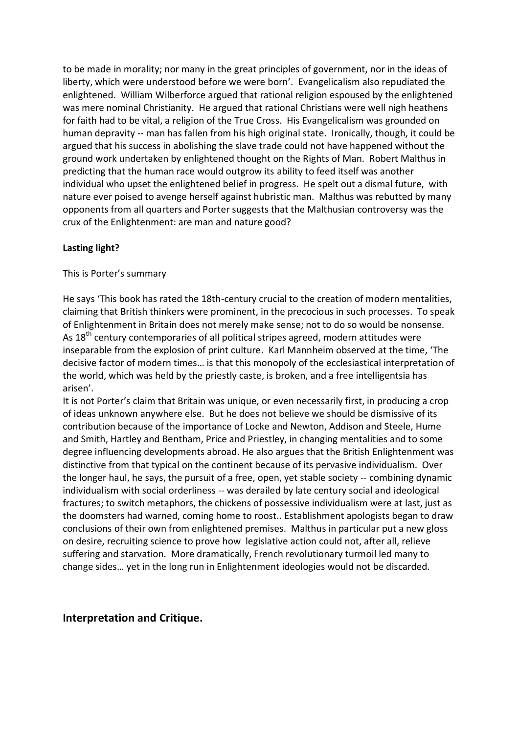to be made in morality; nor many in the great principles of government, nor in the ideas of liberty, which were understood before we were born'. Evangelicalism also repudiated the enlightened. William Wilberforce argued that rational religion espoused by the enlightened was mere nominal Christianity. He argued that rational Christians were well nigh heathens for faith had to be vital, a religion of the True Cross. His Evangelicalism was grounded on human depravity -- man has fallen from his high original state. Ironically, though, it could be argued that his success in abolishing the slave trade could not have happened without the ground work undertaken by enlightened thought on the Rights of Man. Robert Malthus in predicting that the human race would outgrow its ability to feed itself was another individual who upset the enlightened belief in progress. He spelt out a dismal future, with nature ever poised to avenge herself against hubristic man. Malthus was rebutted by many opponents from all quarters and Porter suggests that the Malthusian controversy was the crux of the Enlightenment: are man and nature good?

### **Lasting light?**

#### This is Porter's summary

He says 'This book has rated the 18th-century crucial to the creation of modern mentalities, claiming that British thinkers were prominent, in the precocious in such processes. To speak of Enlightenment in Britain does not merely make sense; not to do so would be nonsense. As  $18<sup>th</sup>$  century contemporaries of all political stripes agreed, modern attitudes were inseparable from the explosion of print culture. Karl Mannheim observed at the time, 'The decisive factor of modern times… is that this monopoly of the ecclesiastical interpretation of the world, which was held by the priestly caste, is broken, and a free intelligentsia has arisen'.

It is not Porter's claim that Britain was unique, or even necessarily first, in producing a crop of ideas unknown anywhere else. But he does not believe we should be dismissive of its contribution because of the importance of Locke and Newton, Addison and Steele, Hume and Smith, Hartley and Bentham, Price and Priestley, in changing mentalities and to some degree influencing developments abroad. He also argues that the British Enlightenment was distinctive from that typical on the continent because of its pervasive individualism. Over the longer haul, he says, the pursuit of a free, open, yet stable society -- combining dynamic individualism with social orderliness -- was derailed by late century social and ideological fractures; to switch metaphors, the chickens of possessive individualism were at last, just as the doomsters had warned, coming home to roost.. Establishment apologists began to draw conclusions of their own from enlightened premises. Malthus in particular put a new gloss on desire, recruiting science to prove how legislative action could not, after all, relieve suffering and starvation. More dramatically, French revolutionary turmoil led many to change sides… yet in the long run in Enlightenment ideologies would not be discarded.

# **Interpretation and Critique.**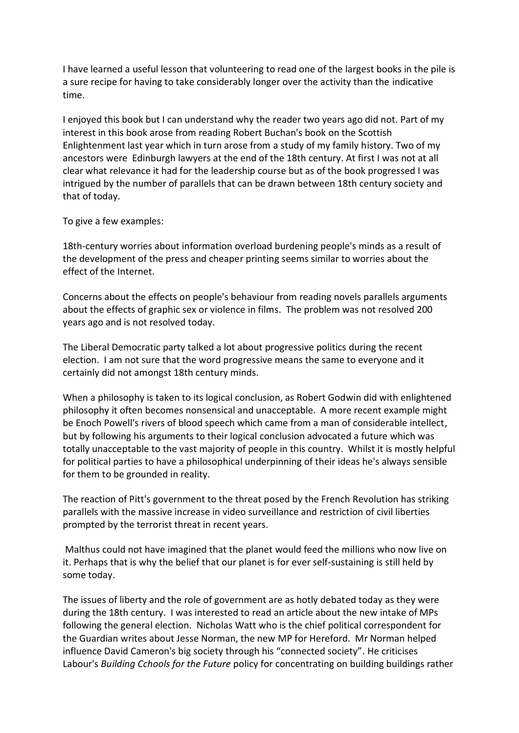I have learned a useful lesson that volunteering to read one of the largest books in the pile is a sure recipe for having to take considerably longer over the activity than the indicative time.

I enjoyed this book but I can understand why the reader two years ago did not. Part of my interest in this book arose from reading Robert Buchan's book on the Scottish Enlightenment last year which in turn arose from a study of my family history. Two of my ancestors were Edinburgh lawyers at the end of the 18th century. At first I was not at all clear what relevance it had for the leadership course but as of the book progressed I was intrigued by the number of parallels that can be drawn between 18th century society and that of today.

To give a few examples:

18th-century worries about information overload burdening people's minds as a result of the development of the press and cheaper printing seems similar to worries about the effect of the Internet.

Concerns about the effects on people's behaviour from reading novels parallels arguments about the effects of graphic sex or violence in films. The problem was not resolved 200 years ago and is not resolved today.

The Liberal Democratic party talked a lot about progressive politics during the recent election. I am not sure that the word progressive means the same to everyone and it certainly did not amongst 18th century minds.

When a philosophy is taken to its logical conclusion, as Robert Godwin did with enlightened philosophy it often becomes nonsensical and unacceptable. A more recent example might be Enoch Powell's rivers of blood speech which came from a man of considerable intellect, but by following his arguments to their logical conclusion advocated a future which was totally unacceptable to the vast majority of people in this country. Whilst it is mostly helpful for political parties to have a philosophical underpinning of their ideas he's always sensible for them to be grounded in reality.

The reaction of Pitt's government to the threat posed by the French Revolution has striking parallels with the massive increase in video surveillance and restriction of civil liberties prompted by the terrorist threat in recent years.

Malthus could not have imagined that the planet would feed the millions who now live on it. Perhaps that is why the belief that our planet is for ever self-sustaining is still held by some today.

The issues of liberty and the role of government are as hotly debated today as they were during the 18th century. I was interested to read an article about the new intake of MPs following the general election. Nicholas Watt who is the chief political correspondent for the Guardian writes about Jesse Norman, the new MP for Hereford. Mr Norman helped influence David Cameron's big society through his "connected society". He criticises Labour's *Building Cchools for the Future* policy for concentrating on building buildings rather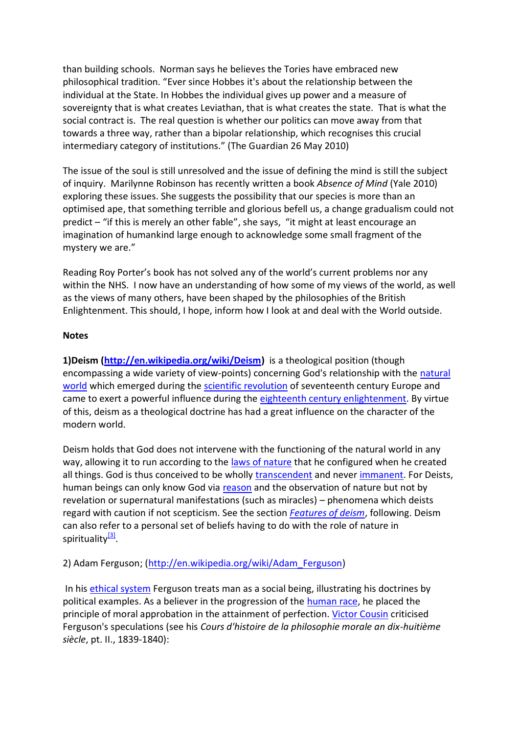than building schools. Norman says he believes the Tories have embraced new philosophical tradition. "Ever since Hobbes it's about the relationship between the individual at the State. In Hobbes the individual gives up power and a measure of sovereignty that is what creates Leviathan, that is what creates the state. That is what the social contract is. The real question is whether our politics can move away from that towards a three way, rather than a bipolar relationship, which recognises this crucial intermediary category of institutions." (The Guardian 26 May 2010)

The issue of the soul is still unresolved and the issue of defining the mind is still the subject of inquiry. Marilynne Robinson has recently written a book *Absence of Mind* (Yale 2010) exploring these issues. She suggests the possibility that our species is more than an optimised ape, that something terrible and glorious befell us, a change gradualism could not predict – "if this is merely an other fable", she says, "it might at least encourage an imagination of humankind large enough to acknowledge some small fragment of the mystery we are."

Reading Roy Porter's book has not solved any of the world's current problems nor any within the NHS. I now have an understanding of how some of my views of the world, as well as the views of many others, have been shaped by the philosophies of the British Enlightenment. This should, I hope, inform how I look at and deal with the World outside.

### **Notes**

**1)Deism [\(http://en.wikipedia.org/wiki/Deism\)](http://en.wikipedia.org/wiki/Deism)** is a theological position (though encompassing a wide variety of view-points) concerning God's relationship with the [natural](http://en.wikipedia.org/wiki/Nature)  [world](http://en.wikipedia.org/wiki/Nature) which emerged during the [scientific revolution](http://en.wikipedia.org/wiki/Scientific_revolution) of seventeenth century Europe and came to exert a powerful influence during the [eighteenth century enlightenment.](http://en.wikipedia.org/wiki/Age_of_Enlightenment) By virtue of this, deism as a theological doctrine has had a great influence on the character of the modern world.

Deism holds that God does not intervene with the functioning of the natural world in any way, allowing it to run according to the [laws of nature](http://en.wikipedia.org/wiki/Laws_of_nature) that he configured when he created all things. God is thus conceived to be wholly [transcendent](http://en.wikipedia.org/wiki/Transcendence_(religion)) and never [immanent.](http://en.wikipedia.org/wiki/Immanent) For Deists, human beings can only know God via [reason](http://en.wikipedia.org/wiki/Reason) and the observation of nature but not by revelation or supernatural manifestations (such as miracles) – phenomena which deists regard with caution if not scepticism. See the section *[Features of deism](http://en.wikipedia.org/wiki/Deism#Features_of_deism#Features_of_deism)*, following. Deism can also refer to a personal set of beliefs having to do with the role of nature in spirituality<sup>[\[3\]](http://en.wikipedia.org/wiki/Deism#cite_note-2#cite_note-2)</sup>.

2) Adam Ferguson; [\(http://en.wikipedia.org/wiki/Adam\\_Ferguson\)](http://en.wikipedia.org/wiki/Adam_Ferguson)

In his [ethical system](http://en.wikipedia.org/wiki/Ethical_system) Ferguson treats man as a social being, illustrating his doctrines by political examples. As a believer in the progression of the [human race,](http://en.wikipedia.org/wiki/Human_race) he placed the principle of moral approbation in the attainment of perfection. [Victor Cousin](http://en.wikipedia.org/wiki/Victor_Cousin) criticised Ferguson's speculations (see his *Cours d'histoire de la philosophie morale an dix-huitième siècle*, pt. II., 1839-1840):